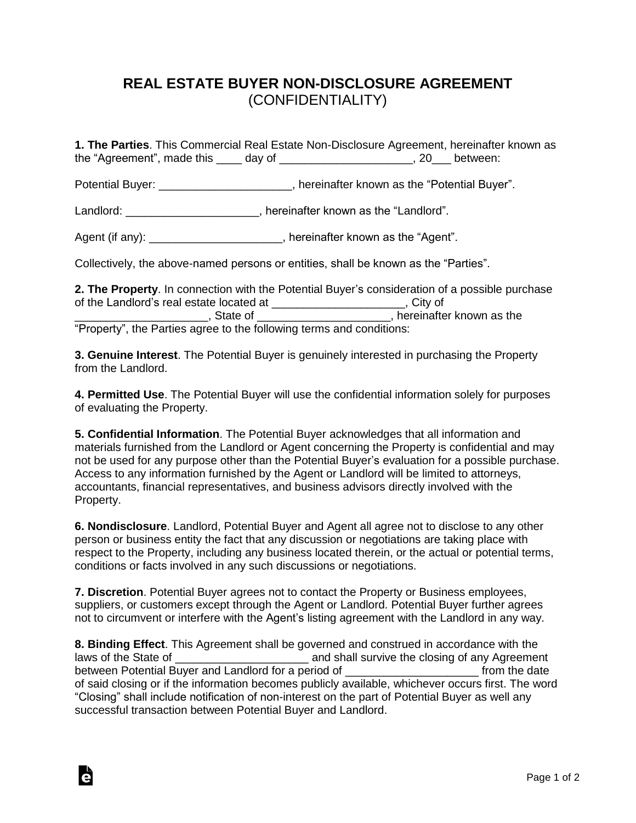## **REAL ESTATE BUYER NON-DISCLOSURE AGREEMENT** (CONFIDENTIALITY)

**1. The Parties**. This Commercial Real Estate Non-Disclosure Agreement, hereinafter known as the "Agreement", made this \_\_\_\_ day of \_\_\_\_\_\_\_\_\_\_\_\_\_\_\_\_\_\_\_\_\_, 20\_\_\_ between:

Potential Buyer: **Notential Buyer:** Notential Buyer".

Landlord: \_\_\_\_\_\_\_\_\_\_\_\_\_\_\_\_\_\_\_\_\_\_, hereinafter known as the "Landlord".

Agent (if any):  $\blacksquare$ , hereinafter known as the "Agent".

Collectively, the above-named persons or entities, shall be known as the "Parties".

**2. The Property**. In connection with the Potential Buyer's consideration of a possible purchase of the Landlord's real estate located at \_\_\_\_\_\_\_\_\_\_\_\_\_\_\_\_\_\_\_\_\_, City of \_\_\_\_\_\_\_\_\_\_\_\_\_\_\_\_\_\_\_\_\_, State of \_\_\_\_\_\_\_\_\_\_\_\_\_\_\_\_\_\_\_\_\_, hereinafter known as the "Property", the Parties agree to the following terms and conditions:

**3. Genuine Interest**. The Potential Buyer is genuinely interested in purchasing the Property from the Landlord.

**4. Permitted Use**. The Potential Buyer will use the confidential information solely for purposes of evaluating the Property.

**5. Confidential Information**. The Potential Buyer acknowledges that all information and materials furnished from the Landlord or Agent concerning the Property is confidential and may not be used for any purpose other than the Potential Buyer's evaluation for a possible purchase. Access to any information furnished by the Agent or Landlord will be limited to attorneys, accountants, financial representatives, and business advisors directly involved with the Property.

**6. Nondisclosure**. Landlord, Potential Buyer and Agent all agree not to disclose to any other person or business entity the fact that any discussion or negotiations are taking place with respect to the Property, including any business located therein, or the actual or potential terms, conditions or facts involved in any such discussions or negotiations.

**7. Discretion**. Potential Buyer agrees not to contact the Property or Business employees, suppliers, or customers except through the Agent or Landlord. Potential Buyer further agrees not to circumvent or interfere with the Agent's listing agreement with the Landlord in any way.

**8. Binding Effect**. This Agreement shall be governed and construed in accordance with the laws of the State of **Exercise 20** and shall survive the closing of any Agreement between Potential Buyer and Landlord for a period of **with the set of the from the date** of said closing or if the information becomes publicly available, whichever occurs first. The word "Closing" shall include notification of non-interest on the part of Potential Buyer as well any successful transaction between Potential Buyer and Landlord.

Ġ